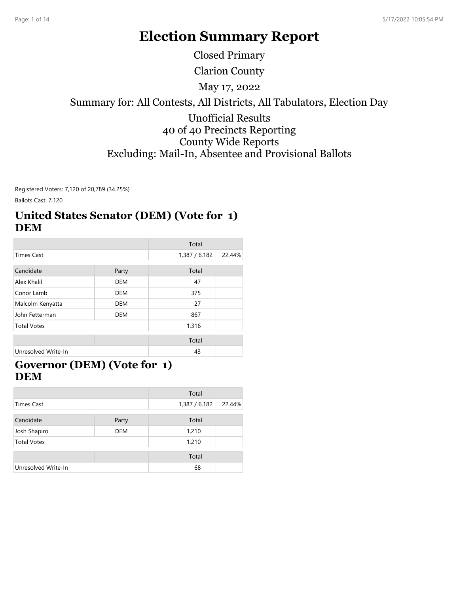# **Election Summary Report**

Closed Primary

Clarion County

May 17, 2022

#### Summary for: All Contests, All Districts, All Tabulators, Election Day

### Unofficial Results 40 of 40 Precincts Reporting County Wide Reports Excluding: Mail-In, Absentee and Provisional Ballots

Registered Voters: 7,120 of 20,789 (34.25%)

Ballots Cast: 7,120

### **United States Senator (DEM) (Vote for 1) DEM**

|                                |            | Total       |        |
|--------------------------------|------------|-------------|--------|
| <b>Times Cast</b>              |            | 1,387/6,182 | 22.44% |
| Candidate                      | Party      | Total       |        |
| Alex Khalil                    | <b>DEM</b> | 47          |        |
| Conor Lamb                     | <b>DEM</b> | 375         |        |
| <b>DEM</b><br>Malcolm Kenyatta |            | 27          |        |
| John Fetterman                 | <b>DEM</b> | 867         |        |
| <b>Total Votes</b>             |            | 1,316       |        |
|                                |            | Total       |        |
| Unresolved Write-In            |            | 43          |        |

### **Governor (DEM) (Vote for 1) DEM**

|                     |            | Total       |        |
|---------------------|------------|-------------|--------|
| <b>Times Cast</b>   |            | 1,387/6,182 | 22.44% |
| Candidate           | Party      | Total       |        |
| Josh Shapiro        | <b>DEM</b> | 1,210       |        |
| <b>Total Votes</b>  |            | 1,210       |        |
|                     |            | Total       |        |
| Unresolved Write-In |            | 68          |        |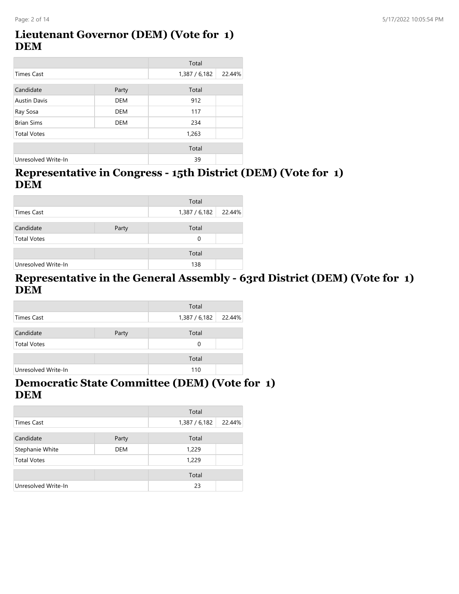### **Lieutenant Governor (DEM) (Vote for 1) DEM**

|                     |            | Total         |        |
|---------------------|------------|---------------|--------|
| Times Cast          |            | 1,387 / 6,182 | 22.44% |
|                     |            |               |        |
| Candidate           | Party      | Total         |        |
| <b>Austin Davis</b> | <b>DEM</b> | 912           |        |
| Ray Sosa            | <b>DEM</b> | 117           |        |
| <b>Brian Sims</b>   | <b>DEM</b> | 234           |        |
| <b>Total Votes</b>  |            | 1,263         |        |
|                     |            |               |        |
|                     |            | Total         |        |
| Unresolved Write-In |            | 39            |        |

### **Representative in Congress - 15th District (DEM) (Vote for 1) DEM**

|                     |       | Total         |        |
|---------------------|-------|---------------|--------|
| Times Cast          |       | 1,387 / 6,182 | 22.44% |
| Candidate           | Party | Total         |        |
| <b>Total Votes</b>  |       | 0             |        |
|                     |       | Total         |        |
| Unresolved Write-In |       | 138           |        |

### **Representative in the General Assembly - 63rd District (DEM) (Vote for 1) DEM**

|                     |       | Total       |        |
|---------------------|-------|-------------|--------|
| Times Cast          |       | 1,387/6,182 | 22.44% |
| Candidate           | Party | Total       |        |
| <b>Total Votes</b>  |       | 0           |        |
|                     |       | Total       |        |
| Unresolved Write-In |       | 110         |        |

### **Democratic State Committee (DEM) (Vote for 1) DEM**

|                     |            | Total         |        |
|---------------------|------------|---------------|--------|
| <b>Times Cast</b>   |            | 1,387 / 6,182 | 22.44% |
| Candidate           | Party      | Total         |        |
| Stephanie White     | <b>DEM</b> | 1,229         |        |
| <b>Total Votes</b>  |            | 1,229         |        |
|                     |            | Total         |        |
| Unresolved Write-In |            | 23            |        |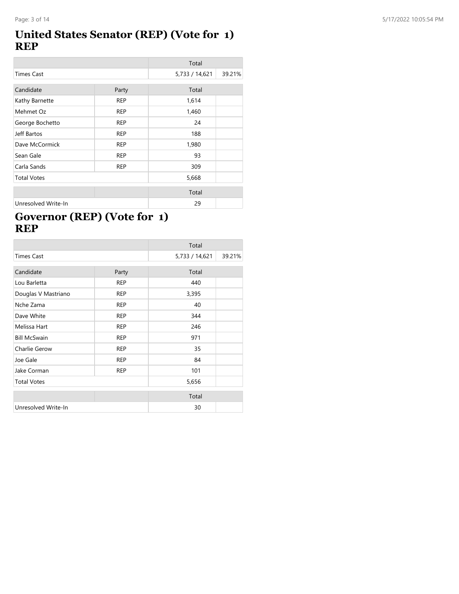### **United States Senator (REP) (Vote for 1) REP**

|                    |            | Total          |        |
|--------------------|------------|----------------|--------|
| <b>Times Cast</b>  |            | 5,733 / 14,621 | 39.21% |
| Candidate          | Party      | Total          |        |
|                    |            |                |        |
| Kathy Barnette     | <b>REP</b> | 1,614          |        |
| Mehmet Oz          | <b>REP</b> | 1,460          |        |
| George Bochetto    | <b>REP</b> | 24             |        |
| Jeff Bartos        | <b>REP</b> | 188            |        |
| Dave McCormick     | <b>REP</b> | 1,980          |        |
| Sean Gale          | <b>REP</b> | 93             |        |
| Carla Sands        | <b>REP</b> | 309            |        |
| <b>Total Votes</b> |            | 5,668          |        |
|                    |            | Total          |        |

Unresolved Write-In 29

## **Governor (REP) (Vote for 1) REP**

|                     |            | Total          |        |
|---------------------|------------|----------------|--------|
| <b>Times Cast</b>   |            | 5,733 / 14,621 | 39.21% |
| Candidate           | Party      | Total          |        |
| Lou Barletta        | <b>REP</b> | 440            |        |
|                     |            |                |        |
| Douglas V Mastriano | <b>REP</b> | 3,395          |        |
| Nche Zama           | <b>REP</b> | 40             |        |
| Dave White          | <b>REP</b> | 344            |        |
| Melissa Hart        | <b>REP</b> | 246            |        |
| <b>Bill McSwain</b> | <b>REP</b> | 971            |        |
| Charlie Gerow       | <b>REP</b> | 35             |        |
| Joe Gale            | <b>REP</b> | 84             |        |
| Jake Corman         | <b>REP</b> | 101            |        |
| <b>Total Votes</b>  |            | 5,656          |        |
|                     |            | Total          |        |
| Unresolved Write-In |            | 30             |        |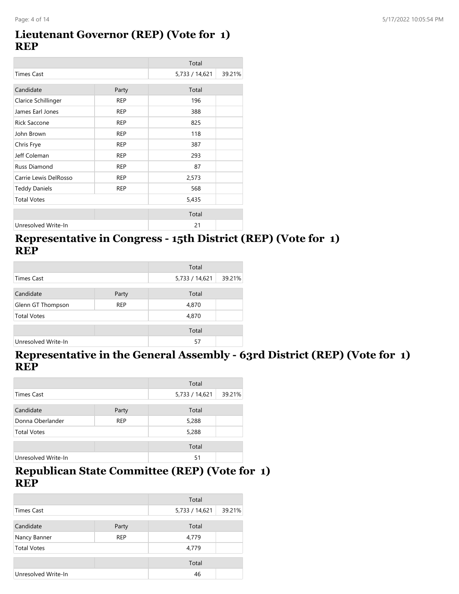#### **Lieutenant Governor (REP) (Vote for 1) REP**

|                       |            | Total          |        |
|-----------------------|------------|----------------|--------|
| <b>Times Cast</b>     |            | 5,733 / 14,621 | 39.21% |
| Candidate             | Party      | Total          |        |
| Clarice Schillinger   | <b>REP</b> | 196            |        |
| James Earl Jones      | <b>REP</b> | 388            |        |
| <b>Rick Saccone</b>   | <b>REP</b> | 825            |        |
| John Brown            | <b>REP</b> | 118            |        |
| Chris Frye            | <b>REP</b> | 387            |        |
| Jeff Coleman          | <b>REP</b> | 293            |        |
| Russ Diamond          | <b>REP</b> | 87             |        |
| Carrie Lewis DelRosso | <b>REP</b> | 2,573          |        |
| <b>Teddy Daniels</b>  | <b>REP</b> | 568            |        |
| <b>Total Votes</b>    |            | 5,435          |        |
|                       |            | Total          |        |
| Unresolved Write-In   |            | 21             |        |

### **Representative in Congress - 15th District (REP) (Vote for 1) REP**

|                     |            | Total          |        |
|---------------------|------------|----------------|--------|
| Times Cast          |            | 5,733 / 14,621 | 39.21% |
|                     |            |                |        |
| Candidate           | Party      | Total          |        |
| Glenn GT Thompson   | <b>REP</b> | 4,870          |        |
| <b>Total Votes</b>  |            | 4,870          |        |
|                     |            | Total          |        |
| Unresolved Write-In |            | 57             |        |

### **Representative in the General Assembly - 63rd District (REP) (Vote for 1) REP**

|                                |       | Total          |        |
|--------------------------------|-------|----------------|--------|
| <b>Times Cast</b>              |       | 5,733 / 14,621 | 39.21% |
| Candidate                      | Party | Total          |        |
| Donna Oberlander<br><b>REP</b> |       | 5,288          |        |
| <b>Total Votes</b>             |       | 5,288          |        |
|                                |       | Total          |        |
| Unresolved Write-In            |       | 51             |        |

### **Republican State Committee (REP) (Vote for 1) REP**

|                            |       | Total          |        |
|----------------------------|-------|----------------|--------|
| Times Cast                 |       | 5,733 / 14,621 | 39.21% |
| Candidate                  | Party | Total          |        |
| <b>REP</b><br>Nancy Banner |       | 4,779          |        |
| <b>Total Votes</b>         |       | 4,779          |        |
|                            |       | Total          |        |
| Unresolved Write-In        |       | 46             |        |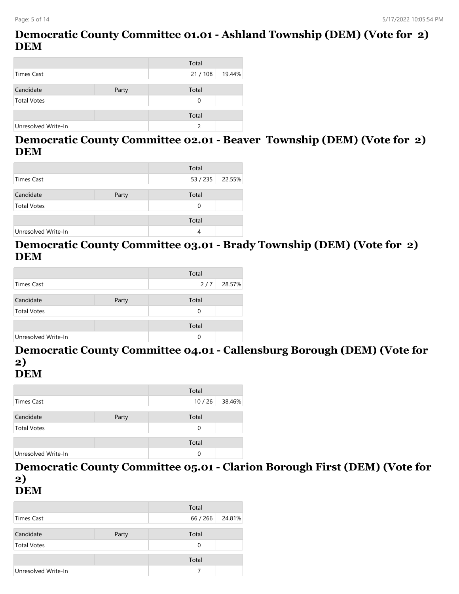### **Democratic County Committee 01.01 - Ashland Township (DEM) (Vote for 2) DEM**

|                     |       | Total         |        |
|---------------------|-------|---------------|--------|
| Times Cast          |       | 21/108        | 19.44% |
|                     |       |               |        |
| Candidate           | Party | Total         |        |
| <b>Total Votes</b>  |       | 0             |        |
|                     |       |               |        |
|                     |       | Total         |        |
| Unresolved Write-In |       | $\mathcal{P}$ |        |
|                     |       |               |        |

#### **Democratic County Committee 02.01 - Beaver Township (DEM) (Vote for 2) DEM**

|                     |       | Total    |        |
|---------------------|-------|----------|--------|
| Times Cast          |       | 53 / 235 | 22.55% |
|                     |       |          |        |
| Candidate           | Party | Total    |        |
| <b>Total Votes</b>  |       | 0        |        |
|                     |       |          |        |
|                     |       | Total    |        |
| Unresolved Write-In |       | 4        |        |

### **Democratic County Committee 03.01 - Brady Township (DEM) (Vote for 2) DEM**

|                     |       | Total |        |
|---------------------|-------|-------|--------|
| Times Cast          |       | 2/7   | 28.57% |
|                     |       |       |        |
| Candidate           | Party | Total |        |
| <b>Total Votes</b>  |       | 0     |        |
|                     |       |       |        |
|                     |       | Total |        |
| Unresolved Write-In |       | 0     |        |

#### **Democratic County Committee 04.01 - Callensburg Borough (DEM) (Vote for 2) DEM**

|                     |       | Total |        |
|---------------------|-------|-------|--------|
| Times Cast          |       | 10/26 | 38.46% |
|                     |       |       |        |
| Candidate           | Party | Total |        |
| <b>Total Votes</b>  |       | 0     |        |
|                     |       |       |        |
|                     |       | Total |        |
| Unresolved Write-In |       | 0     |        |

**Democratic County Committee 05.01 - Clarion Borough First (DEM) (Vote for 2)**

**DEM**

|                     |       | Total    |        |
|---------------------|-------|----------|--------|
| <b>Times Cast</b>   |       | 66 / 266 | 24.81% |
| Candidate           | Party | Total    |        |
| <b>Total Votes</b>  |       | 0        |        |
|                     |       | Total    |        |
| Unresolved Write-In |       |          |        |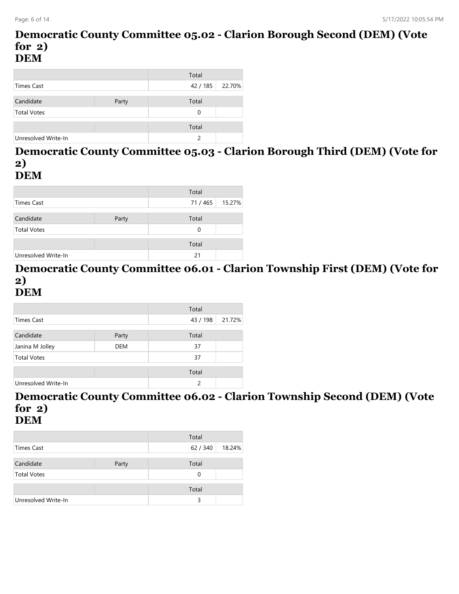#### **Democratic County Committee 05.02 - Clarion Borough Second (DEM) (Vote for 2) DEM**

|                     |       | Total    |        |
|---------------------|-------|----------|--------|
| Times Cast          |       | 42/185   | 22.70% |
|                     |       |          |        |
| Candidate           | Party | Total    |        |
| <b>Total Votes</b>  |       | $\Omega$ |        |
|                     |       |          |        |
|                     |       | Total    |        |
| Unresolved Write-In |       | っ        |        |

#### **Democratic County Committee 05.03 - Clarion Borough Third (DEM) (Vote for 2) DEM**

|                     |       | Total  |        |
|---------------------|-------|--------|--------|
| Times Cast          |       | 71/465 | 15.27% |
| Candidate           | Party | Total  |        |
| <b>Total Votes</b>  |       | 0      |        |
|                     |       | Total  |        |
| Unresolved Write-In |       | 21     |        |

#### **Democratic County Committee 06.01 - Clarion Township First (DEM) (Vote for 2) DEM**

|                     |            | Total    |        |
|---------------------|------------|----------|--------|
| Times Cast          |            | 43 / 198 | 21.72% |
|                     |            |          |        |
| Candidate           | Party      | Total    |        |
| Janina M Jolley     | <b>DEM</b> | 37       |        |
| <b>Total Votes</b>  |            | 37       |        |
|                     |            |          |        |
|                     |            | Total    |        |
| Unresolved Write-In |            | 2        |        |

#### **Democratic County Committee 06.02 - Clarion Township Second (DEM) (Vote for 2) DEM**

|                     |       | Total    |        |
|---------------------|-------|----------|--------|
| Times Cast          |       | 62 / 340 | 18.24% |
|                     |       |          |        |
| Candidate           | Party | Total    |        |
| <b>Total Votes</b>  |       | 0        |        |
|                     |       |          |        |
|                     |       | Total    |        |
| Unresolved Write-In |       | 3        |        |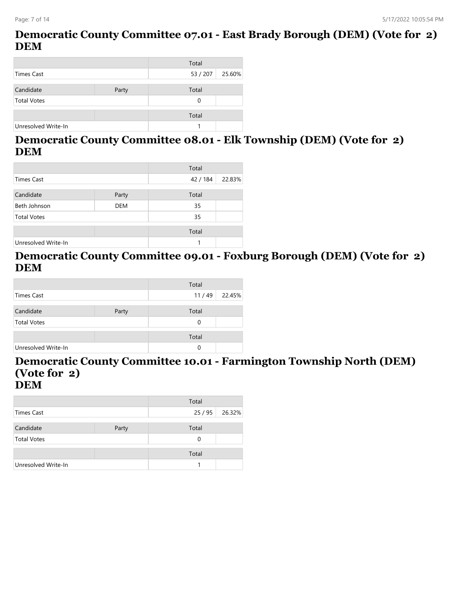### **Democratic County Committee 07.01 - East Brady Borough (DEM) (Vote for 2) DEM**

|                     |       | Total    |        |
|---------------------|-------|----------|--------|
| <b>Times Cast</b>   |       | 53 / 207 | 25.60% |
|                     |       |          |        |
| Candidate           | Party | Total    |        |
| <b>Total Votes</b>  |       | 0        |        |
|                     |       |          |        |
|                     |       | Total    |        |
| Unresolved Write-In |       |          |        |

### **Democratic County Committee 08.01 - Elk Township (DEM) (Vote for 2) DEM**

|                     |            | Total    |        |
|---------------------|------------|----------|--------|
| Times Cast          |            | 42 / 184 | 22.83% |
|                     |            |          |        |
| Candidate           | Party      | Total    |        |
| Beth Johnson        | <b>DEM</b> | 35       |        |
| <b>Total Votes</b>  |            | 35       |        |
|                     |            |          |        |
|                     |            | Total    |        |
| Unresolved Write-In |            | 1        |        |

### **Democratic County Committee 09.01 - Foxburg Borough (DEM) (Vote for 2) DEM**

|                     |       | Total |        |
|---------------------|-------|-------|--------|
| <b>Times Cast</b>   |       | 11/49 | 22.45% |
|                     |       |       |        |
| Candidate           | Party | Total |        |
| <b>Total Votes</b>  |       | 0     |        |
|                     |       |       |        |
|                     |       | Total |        |
| Unresolved Write-In |       | 0     |        |

#### **Democratic County Committee 10.01 - Farmington Township North (DEM) (Vote for 2) DEM**

|                     |       | Total |        |
|---------------------|-------|-------|--------|
| Times Cast          |       | 25/95 | 26.32% |
| Candidate           | Party | Total |        |
| <b>Total Votes</b>  |       | 0     |        |
|                     |       | Total |        |
| Unresolved Write-In |       |       |        |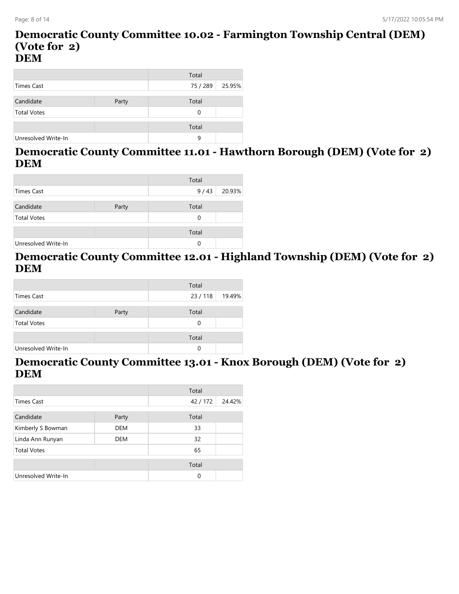#### **Democratic County Committee 10.02 - Farmington Township Central (DEM) (Vote for 2) DEM**

|                     |       | Total    |        |
|---------------------|-------|----------|--------|
| Times Cast          |       | 75 / 289 | 25.95% |
|                     |       |          |        |
| Candidate           | Party | Total    |        |
| <b>Total Votes</b>  |       | 0        |        |
|                     |       |          |        |
|                     |       | Total    |        |
| Unresolved Write-In |       | 9        |        |

### **Democratic County Committee 11.01 - Hawthorn Borough (DEM) (Vote for 2) DEM**

|                     |       | Total |        |
|---------------------|-------|-------|--------|
| Times Cast          |       | 9/43  | 20.93% |
|                     |       |       |        |
| Candidate           | Party | Total |        |
| <b>Total Votes</b>  |       | 0     |        |
|                     |       |       |        |
|                     |       | Total |        |
| Unresolved Write-In |       | 0     |        |

### **Democratic County Committee 12.01 - Highland Township (DEM) (Vote for 2) DEM**

|                     |       | Total    |        |
|---------------------|-------|----------|--------|
| <b>Times Cast</b>   |       | 23/118   | 19.49% |
|                     |       |          |        |
| Candidate           | Party | Total    |        |
| <b>Total Votes</b>  |       | $\Omega$ |        |
|                     |       |          |        |
|                     |       | Total    |        |
| Unresolved Write-In |       | 0        |        |

#### **Democratic County Committee 13.01 - Knox Borough (DEM) (Vote for 2) DEM**

|                                |            | Total    |        |
|--------------------------------|------------|----------|--------|
| <b>Times Cast</b>              |            | 42/172   | 24.42% |
| Candidate                      |            | Total    |        |
|                                | Party      |          |        |
| Kimberly S Bowman              | <b>DEM</b> | 33       |        |
| Linda Ann Runyan<br><b>DEM</b> |            | 32       |        |
| <b>Total Votes</b>             |            | 65       |        |
|                                |            | Total    |        |
| Unresolved Write-In            |            | $\Omega$ |        |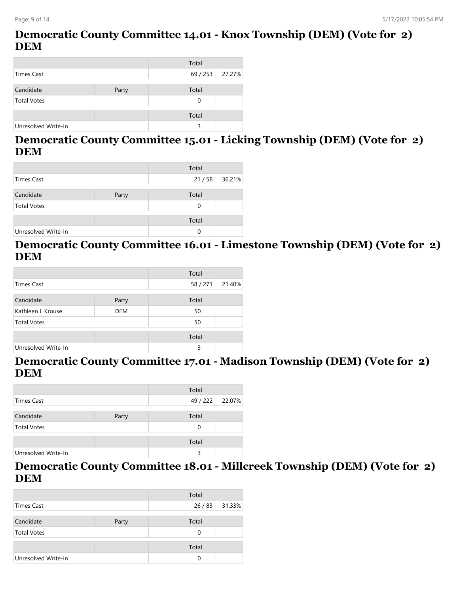#### **Democratic County Committee 14.01 - Knox Township (DEM) (Vote for 2) DEM**

|                     |       | Total    |        |
|---------------------|-------|----------|--------|
| <b>Times Cast</b>   |       | 69 / 253 | 27.27% |
|                     |       |          |        |
| Candidate           | Party | Total    |        |
| <b>Total Votes</b>  |       | 0        |        |
|                     |       |          |        |
|                     |       | Total    |        |
| Unresolved Write-In |       | 3        |        |

#### **Democratic County Committee 15.01 - Licking Township (DEM) (Vote for 2) DEM**

|                     |       | Total |        |
|---------------------|-------|-------|--------|
| Times Cast          |       | 21/58 | 36.21% |
|                     |       |       |        |
| Candidate           | Party | Total |        |
| <b>Total Votes</b>  |       | 0     |        |
|                     |       |       |        |
|                     |       | Total |        |
| Unresolved Write-In |       | 0     |        |

### **Democratic County Committee 16.01 - Limestone Township (DEM) (Vote for 2) DEM**

|                     |            | Total  |        |
|---------------------|------------|--------|--------|
| Times Cast          |            | 58/271 | 21.40% |
|                     |            |        |        |
| Candidate           | Party      | Total  |        |
| Kathleen L Krouse   | <b>DEM</b> | 50     |        |
| <b>Total Votes</b>  |            | 50     |        |
|                     |            |        |        |
|                     |            | Total  |        |
| Unresolved Write-In |            | 3      |        |

#### **Democratic County Committee 17.01 - Madison Township (DEM) (Vote for 2) DEM**

|                     |       | Total           |  |
|---------------------|-------|-----------------|--|
| Times Cast          |       | 49 / 222 22.07% |  |
| Candidate           | Party | Total           |  |
| <b>Total Votes</b>  |       | 0               |  |
|                     |       | Total           |  |
| Unresolved Write-In |       | 3               |  |

**Democratic County Committee 18.01 - Millcreek Township (DEM) (Vote for 2) DEM**

|                     |       | Total |                |
|---------------------|-------|-------|----------------|
| Times Cast          |       |       | 26 / 83 31.33% |
| Candidate           | Party | Total |                |
| <b>Total Votes</b>  |       | 0     |                |
|                     |       | Total |                |
| Unresolved Write-In |       | 0     |                |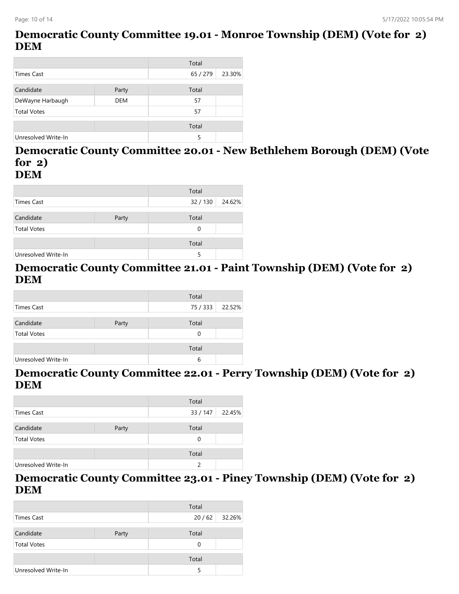### **Democratic County Committee 19.01 - Monroe Township (DEM) (Vote for 2) DEM**

|                     |            | Total    |        |
|---------------------|------------|----------|--------|
| <b>Times Cast</b>   |            | 65 / 279 | 23.30% |
|                     |            |          |        |
| Candidate           | Party      | Total    |        |
| DeWayne Harbaugh    | <b>DEM</b> | 57       |        |
| <b>Total Votes</b>  |            | 57       |        |
|                     |            |          |        |
|                     |            | Total    |        |
| Unresolved Write-In |            | 5        |        |

#### **Democratic County Committee 20.01 - New Bethlehem Borough (DEM) (Vote for 2) DEM**

|                     |       | Total  |        |
|---------------------|-------|--------|--------|
| Times Cast          |       | 32/130 | 24.62% |
| Candidate           | Party | Total  |        |
| <b>Total Votes</b>  |       | 0      |        |
|                     |       | Total  |        |
| Unresolved Write-In |       | 5      |        |

### **Democratic County Committee 21.01 - Paint Township (DEM) (Vote for 2) DEM**

|                     |       | Total    |        |
|---------------------|-------|----------|--------|
| Times Cast          |       | 75 / 333 | 22.52% |
| Candidate           | Party | Total    |        |
| <b>Total Votes</b>  |       | 0        |        |
|                     |       | Total    |        |
| Unresolved Write-In |       | 6        |        |

#### **Democratic County Committee 22.01 - Perry Township (DEM) (Vote for 2) DEM**

|                     |       | Total    |        |
|---------------------|-------|----------|--------|
| Times Cast          |       | 33 / 147 | 22.45% |
| Candidate           | Party | Total    |        |
| <b>Total Votes</b>  |       | 0        |        |
|                     |       | Total    |        |
| Unresolved Write-In |       | 2        |        |

#### **Democratic County Committee 23.01 - Piney Township (DEM) (Vote for 2) DEM**

|                     |       | Total |                |
|---------------------|-------|-------|----------------|
| Times Cast          |       |       | 20 / 62 32.26% |
| Candidate           | Party | Total |                |
| <b>Total Votes</b>  |       | 0     |                |
|                     |       | Total |                |
| Unresolved Write-In |       |       |                |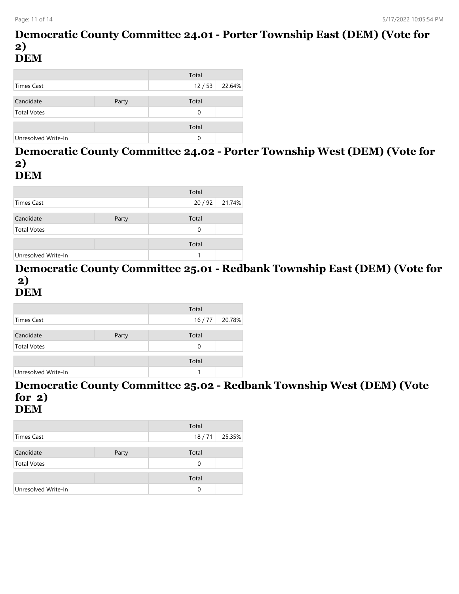#### **Democratic County Committee 24.01 - Porter Township East (DEM) (Vote for 2) DEM**

|                     |       | Total |        |
|---------------------|-------|-------|--------|
| Times Cast          |       | 12/53 | 22.64% |
|                     |       |       |        |
| Candidate           | Party | Total |        |
| <b>Total Votes</b>  |       | 0     |        |
|                     |       |       |        |
|                     |       | Total |        |
| Unresolved Write-In |       | 0     |        |

#### **Democratic County Committee 24.02 - Porter Township West (DEM) (Vote for 2) DEM**

|                     |       | Total |                |
|---------------------|-------|-------|----------------|
| Times Cast          |       |       | 20 / 92 21.74% |
| Candidate           | Party | Total |                |
| <b>Total Votes</b>  |       | 0     |                |
|                     |       | Total |                |
| Unresolved Write-In |       |       |                |

#### **Democratic County Committee 25.01 - Redbank Township East (DEM) (Vote for 2) DEM**

|                     |       | Total |        |
|---------------------|-------|-------|--------|
| Times Cast          |       | 16/77 | 20.78% |
|                     |       |       |        |
| Candidate           | Party | Total |        |
| <b>Total Votes</b>  |       | 0     |        |
|                     |       |       |        |
|                     |       | Total |        |
| Unresolved Write-In |       |       |        |

#### **Democratic County Committee 25.02 - Redbank Township West (DEM) (Vote for 2) DEM**

|                     |       | Total    |        |
|---------------------|-------|----------|--------|
| Times Cast          |       | 18/71    | 25.35% |
|                     |       |          |        |
| Candidate           | Party | Total    |        |
| <b>Total Votes</b>  |       | $\Omega$ |        |
|                     |       |          |        |
|                     |       | Total    |        |
| Unresolved Write-In |       | 0        |        |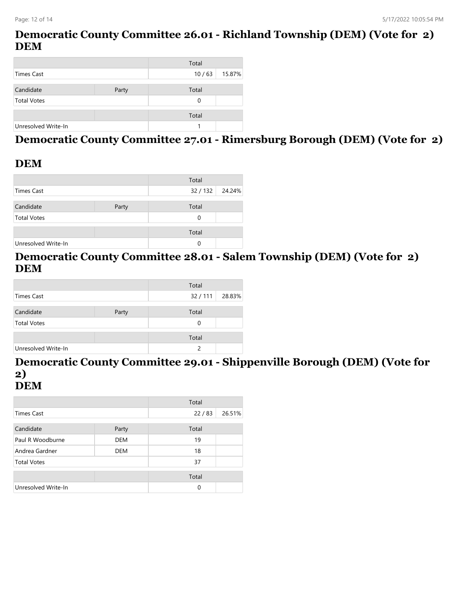### **Democratic County Committee 26.01 - Richland Township (DEM) (Vote for 2) DEM**

|                     |       | Total |        |
|---------------------|-------|-------|--------|
| Times Cast          |       | 10/63 | 15.87% |
|                     |       |       |        |
| Candidate           | Party | Total |        |
| <b>Total Votes</b>  |       | 0     |        |
|                     |       |       |        |
|                     |       | Total |        |
| Unresolved Write-In |       |       |        |

# **Democratic County Committee 27.01 - Rimersburg Borough (DEM) (Vote for 2)**

### **DEM**

|                     |       | Total           |  |
|---------------------|-------|-----------------|--|
| Times Cast          |       | 32 / 132 24.24% |  |
| Candidate           | Party | Total           |  |
| <b>Total Votes</b>  |       | 0               |  |
|                     |       | Total           |  |
| Unresolved Write-In |       | 0               |  |

### **Democratic County Committee 28.01 - Salem Township (DEM) (Vote for 2) DEM**

|                     |       | Total  |        |
|---------------------|-------|--------|--------|
| Times Cast          |       | 32/111 | 28.83% |
|                     |       |        |        |
| Candidate           | Party | Total  |        |
| <b>Total Votes</b>  |       | 0      |        |
|                     |       |        |        |
|                     |       | Total  |        |
| Unresolved Write-In |       |        |        |

#### **Democratic County Committee 29.01 - Shippenville Borough (DEM) (Vote for 2) DEM**

|                     |            | Total |        |
|---------------------|------------|-------|--------|
| <b>Times Cast</b>   |            | 22/83 | 26.51% |
| Candidate           | Party      | Total |        |
| Paul R Woodburne    | <b>DEM</b> | 19    |        |
| Andrea Gardner      | <b>DEM</b> | 18    |        |
| <b>Total Votes</b>  |            | 37    |        |
|                     |            | Total |        |
| Unresolved Write-In |            | 0     |        |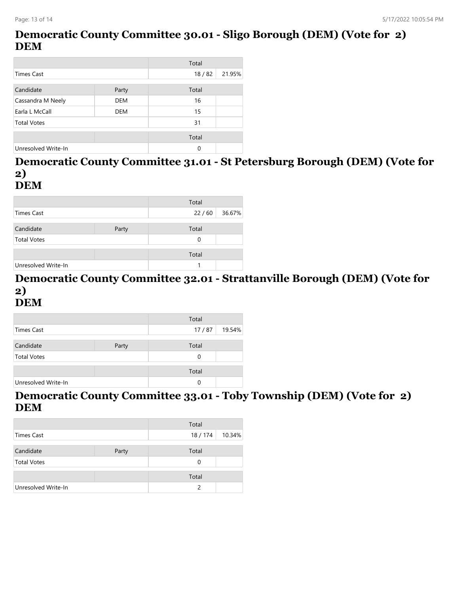### **Democratic County Committee 30.01 - Sligo Borough (DEM) (Vote for 2) DEM**

|                     |            | Total |        |
|---------------------|------------|-------|--------|
| <b>Times Cast</b>   |            | 18/82 | 21.95% |
|                     |            |       |        |
| Candidate           | Party      | Total |        |
| Cassandra M Neely   | <b>DEM</b> | 16    |        |
| Earla L McCall      | <b>DEM</b> | 15    |        |
| <b>Total Votes</b>  |            | 31    |        |
|                     |            |       |        |
|                     |            | Total |        |
| Unresolved Write-In |            | 0     |        |

#### **Democratic County Committee 31.01 - St Petersburg Borough (DEM) (Vote for 2) DEM**

|                     |       | Total |        |
|---------------------|-------|-------|--------|
| <b>Times Cast</b>   |       | 22/60 | 36.67% |
|                     |       |       |        |
| Candidate           | Party | Total |        |
| <b>Total Votes</b>  |       | 0     |        |
|                     |       |       |        |
|                     |       | Total |        |
| Unresolved Write-In |       |       |        |

#### **Democratic County Committee 32.01 - Strattanville Borough (DEM) (Vote for 2) DEM**

|                     |       | Total    |        |
|---------------------|-------|----------|--------|
| Times Cast          |       | 17/87    | 19.54% |
|                     |       |          |        |
| Candidate           | Party | Total    |        |
| <b>Total Votes</b>  |       | $\Omega$ |        |
|                     |       |          |        |
|                     |       | Total    |        |
| Unresolved Write-In |       | 0        |        |

### **Democratic County Committee 33.01 - Toby Township (DEM) (Vote for 2) DEM**

|                     |       | Total         |        |
|---------------------|-------|---------------|--------|
| <b>Times Cast</b>   |       | 18 / 174      | 10.34% |
| Candidate           | Party | Total         |        |
| <b>Total Votes</b>  |       | $\Omega$      |        |
|                     |       | Total         |        |
| Unresolved Write-In |       | $\mathcal{P}$ |        |